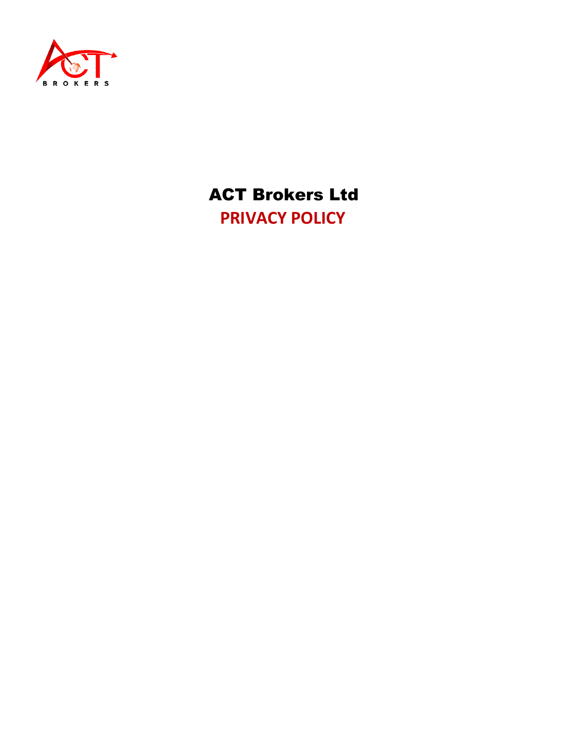

 ACT Brokers Ltd **PRIVACY POLICY**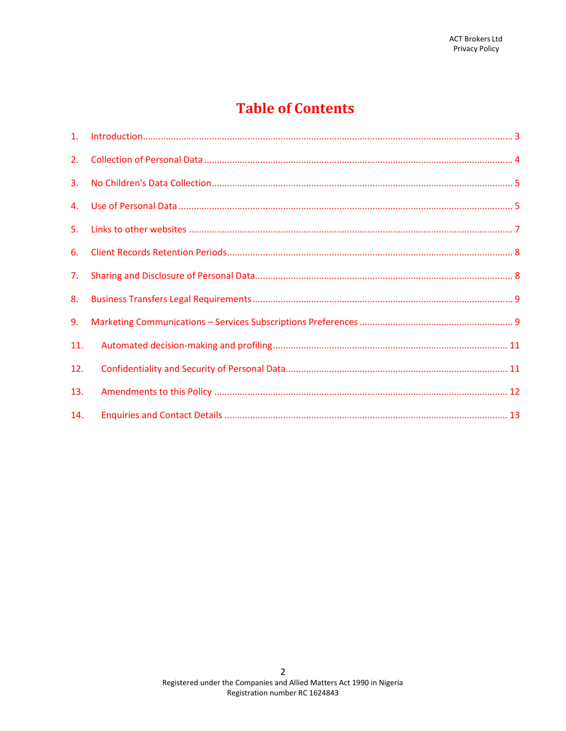# **Table of Contents**

| 2.  |  |
|-----|--|
| 3.  |  |
|     |  |
| 5.  |  |
| 6.  |  |
| 7.  |  |
| 8.  |  |
| 9.  |  |
| 11. |  |
| 12. |  |
| 13. |  |
| 14. |  |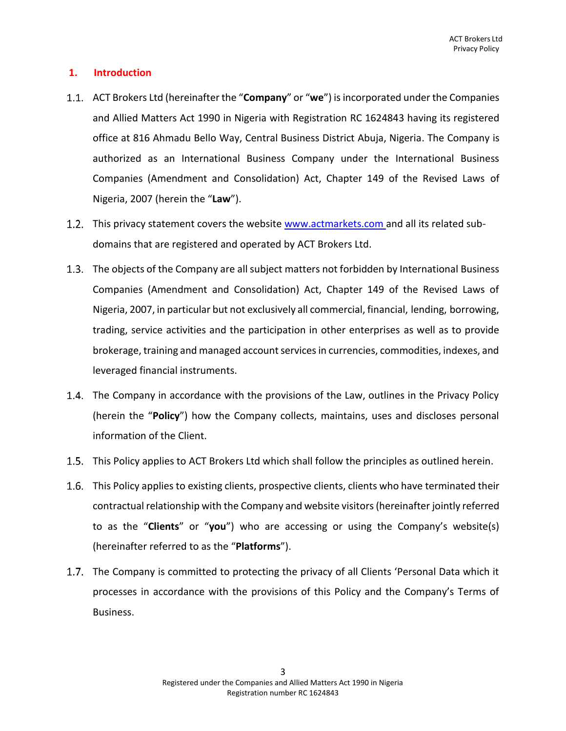# **1. Introduction**

- ACT Brokers Ltd (hereinafter the "**Company**" or "**we**") is incorporated under the Companies and Allied Matters Act 1990 in Nigeria with Registration RC 1624843 having its registered office at 816 Ahmadu Bello Way, Central Business District Abuja, Nigeria. The Company is authorized as an International Business Company under the International Business Companies (Amendment and Consolidation) Act, Chapter 149 of the Revised Laws of Nigeria, 2007 (herein the "**Law**").
- 1.2. This privacy statement covers the website www.actmarkets.com and all its related subdomains that are registered and operated by ACT Brokers Ltd.
- 1.3. The objects of the Company are all subject matters not forbidden by International Business Companies (Amendment and Consolidation) Act, Chapter 149 of the Revised Laws of Nigeria, 2007, in particular but not exclusively all commercial, financial, lending, borrowing, trading, service activities and the participation in other enterprises as well as to provide brokerage, training and managed account services in currencies, commodities, indexes, and leveraged financial instruments.
- 1.4. The Company in accordance with the provisions of the Law, outlines in the Privacy Policy (herein the "**Policy**") how the Company collects, maintains, uses and discloses personal information of the Client.
- 1.5. This Policy applies to ACT Brokers Ltd which shall follow the principles as outlined herein.
- 1.6. This Policy applies to existing clients, prospective clients, clients who have terminated their contractual relationship with the Company and website visitors (hereinafter jointly referred to as the "**Clients**" or "**you**") who are accessing or using the Company's website(s) (hereinafter referred to as the "**Platforms**").
- 1.7. The Company is committed to protecting the privacy of all Clients 'Personal Data which it processes in accordance with the provisions of this Policy and the Company's Terms of Business.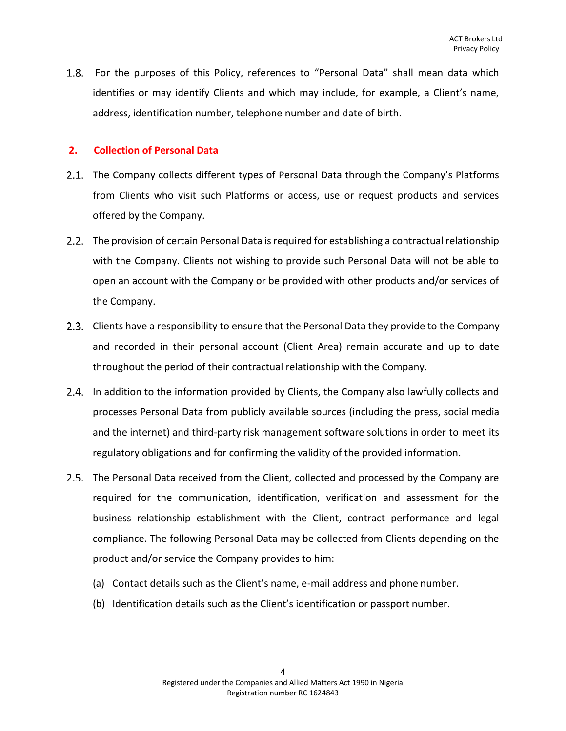1.8. For the purposes of this Policy, references to "Personal Data" shall mean data which identifies or may identify Clients and which may include, for example, a Client's name, address, identification number, telephone number and date of birth.

# <span id="page-3-0"></span>**2. Collection of Personal Data**

- 2.1. The Company collects different types of Personal Data through the Company's Platforms from Clients who visit such Platforms or access, use or request products and services offered by the Company.
- 2.2. The provision of certain Personal Data is required for establishing a contractual relationship with the Company. Clients not wishing to provide such Personal Data will not be able to open an account with the Company or be provided with other products and/or services of the Company.
- Clients have a responsibility to ensure that the Personal Data they provide to the Company and recorded in their personal account (Client Area) remain accurate and up to date throughout the period of their contractual relationship with the Company.
- 2.4. In addition to the information provided by Clients, the Company also lawfully collects and processes Personal Data from publicly available sources (including the press, social media and the internet) and third-party risk management software solutions in order to meet its regulatory obligations and for confirming the validity of the provided information.
- 2.5. The Personal Data received from the Client, collected and processed by the Company are required for the communication, identification, verification and assessment for the business relationship establishment with the Client, contract performance and legal compliance. The following Personal Data may be collected from Clients depending on the product and/or service the Company provides to him:
	- (a) Contact details such as the Client's name, e-mail address and phone number.
	- (b) Identification details such as the Client's identification or passport number.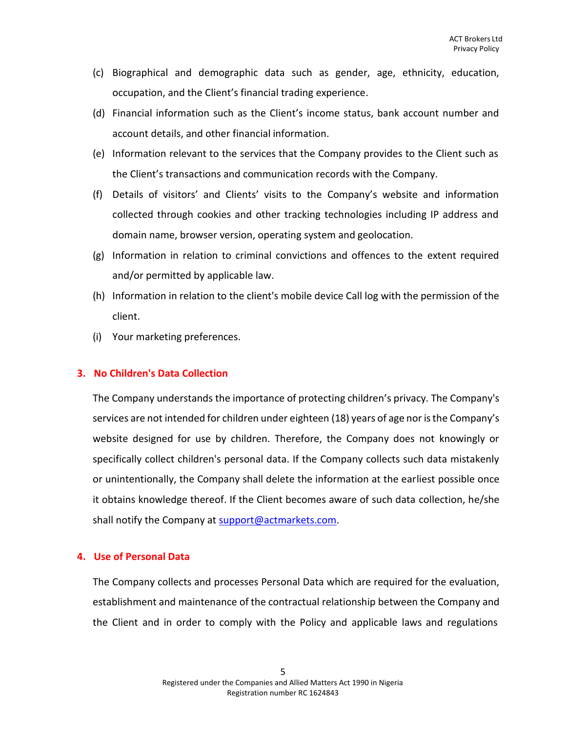- (c) Biographical and demographic data such as gender, age, ethnicity, education, occupation, and the Client's financial trading experience.
- (d) Financial information such as the Client's income status, bank account number and account details, and other financial information.
- (e) Information relevant to the services that the Company provides to the Client such as the Client's transactions and communication records with the Company.
- (f) Details of visitors' and Clients' visits to the Company's website and information collected through cookies and other tracking technologies including IP address and domain name, browser version, operating system and geolocation.
- (g) Information in relation to criminal convictions and offences to the extent required and/or permitted by applicable law.
- (h) Information in relation to the client's mobile device Call log with the permission of the client.
- (i) Your marketing preferences.

#### <span id="page-4-0"></span>**3. No Children's Data Collection**

The Company understands the importance of protecting children's privacy. The Company's services are not intended for children under eighteen (18) years of age nor isthe Company's website designed for use by children. Therefore, the Company does not knowingly or specifically collect children's personal data. If the Company collects such data mistakenly or unintentionally, the Company shall delete the information at the earliest possible once it obtains knowledge thereof. If the Client becomes aware of such data collection, he/she shall notify the Company at [support@actmarkets.com.](mailto:support@actmarkets.com)

#### <span id="page-4-1"></span>**4. Use of Personal Data**

The Company collects and processes Personal Data which are required for the evaluation, establishment and maintenance of the contractual relationship between the Company and the Client and in order to comply with the Policy and applicable laws and regulations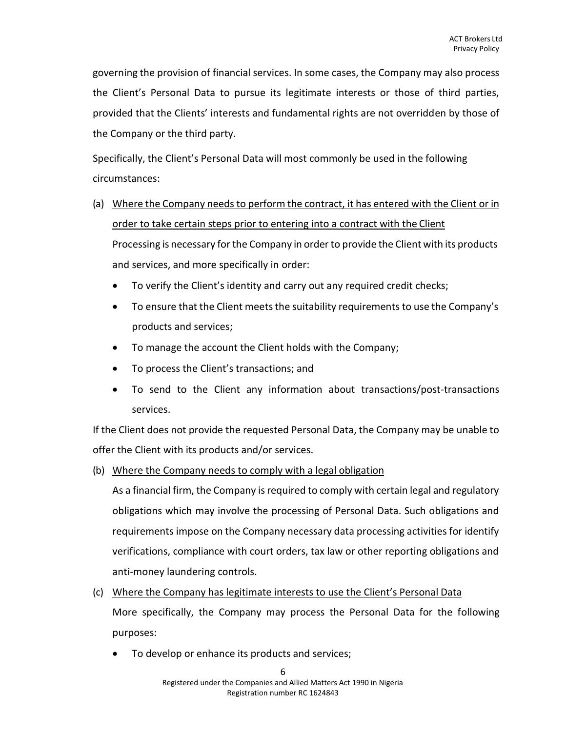governing the provision of financial services. In some cases, the Company may also process the Client's Personal Data to pursue its legitimate interests or those of third parties, provided that the Clients' interests and fundamental rights are not overridden by those of the Company or the third party.

Specifically, the Client's Personal Data will most commonly be used in the following circumstances:

- (a) Where the Company needs to perform the contract, it has entered with the Client or in order to take certain steps prior to entering into a contract with the Client Processing is necessary forthe Company in orderto provide the Client with its products and services, and more specifically in order:
	- To verify the Client's identity and carry out any required credit checks;
	- To ensure that the Client meets the suitability requirements to use the Company's products and services;
	- To manage the account the Client holds with the Company;
	- To process the Client's transactions; and
	- To send to the Client any information about transactions/post-transactions services.

If the Client does not provide the requested Personal Data, the Company may be unable to offer the Client with its products and/or services.

(b) Where the Company needs to comply with a legal obligation

As a financial firm, the Company is required to comply with certain legal and regulatory obligations which may involve the processing of Personal Data. Such obligations and requirements impose on the Company necessary data processing activities for identify verifications, compliance with court orders, tax law or other reporting obligations and anti-money laundering controls.

- (c) Where the Company has legitimate interests to use the Client's Personal Data More specifically, the Company may process the Personal Data for the following purposes:
	- To develop or enhance its products and services;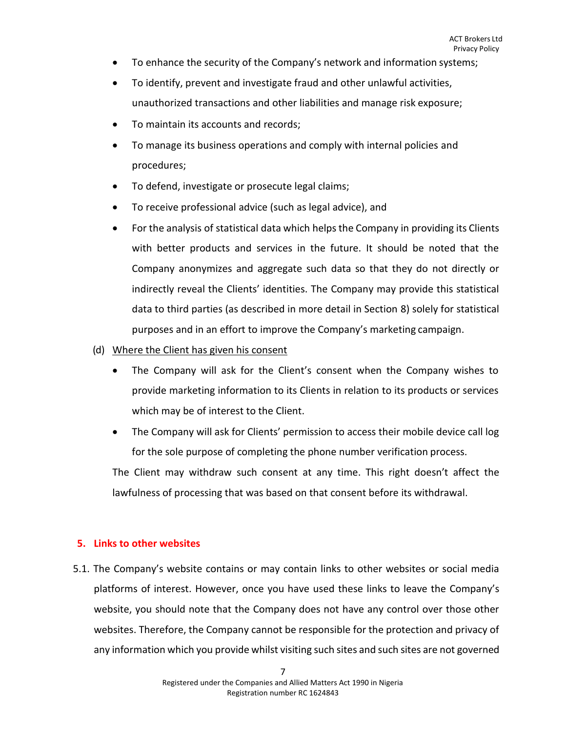- To enhance the security of the Company's network and information systems;
- To identify, prevent and investigate fraud and other unlawful activities, unauthorized transactions and other liabilities and manage risk exposure;
- To maintain its accounts and records;
- To manage its business operations and comply with internal policies and procedures;
- To defend, investigate or prosecute legal claims;
- To receive professional advice (such as legal advice), and
- For the analysis of statistical data which helps the Company in providing its Clients with better products and services in the future. It should be noted that the Company anonymizes and aggregate such data so that they do not directly or indirectly reveal the Clients' identities. The Company may provide this statistical data to third parties (as described in more detail in Section 8) solely for statistical purposes and in an effort to improve the Company's marketing campaign.
- (d) Where the Client has given his consent
	- The Company will ask for the Client's consent when the Company wishes to provide marketing information to its Clients in relation to its products or services which may be of interest to the Client.
	- The Company will ask for Clients' permission to access their mobile device call log for the sole purpose of completing the phone number verification process.

The Client may withdraw such consent at any time. This right doesn't affect the lawfulness of processing that was based on that consent before its withdrawal.

# <span id="page-6-0"></span>**5. Links to other websites**

5.1. The Company's website contains or may contain links to other websites or social media platforms of interest. However, once you have used these links to leave the Company's website, you should note that the Company does not have any control over those other websites. Therefore, the Company cannot be responsible for the protection and privacy of any information which you provide whilst visiting such sites and such sites are not governed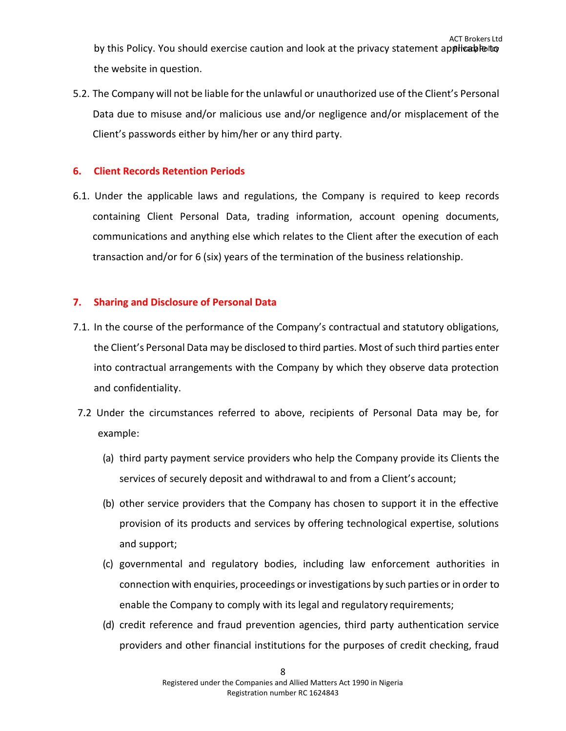5.2. The Company will not be liable for the unlawful or unauthorized use of the Client's Personal Data due to misuse and/or malicious use and/or negligence and/or misplacement of the Client's passwords either by him/her or any third party.

# <span id="page-7-0"></span>**6. Client Records Retention Periods**

6.1. Under the applicable laws and regulations, the Company is required to keep records containing Client Personal Data, trading information, account opening documents, communications and anything else which relates to the Client after the execution of each transaction and/or for 6 (six) years of the termination of the business relationship.

# <span id="page-7-1"></span>**7. Sharing and Disclosure of Personal Data**

- 7.1. In the course of the performance of the Company's contractual and statutory obligations, the Client's Personal Data may be disclosed to third parties. Most of such third parties enter into contractual arrangements with the Company by which they observe data protection and confidentiality.
- 7.2 Under the circumstances referred to above, recipients of Personal Data may be, for example:
	- (a) third party payment service providers who help the Company provide its Clients the services of securely deposit and withdrawal to and from a Client's account;
	- (b) other service providers that the Company has chosen to support it in the effective provision of its products and services by offering technological expertise, solutions and support;
	- (c) governmental and regulatory bodies, including law enforcement authorities in connection with enquiries, proceedings orinvestigations by such parties or in order to enable the Company to comply with its legal and regulatory requirements;
	- (d) credit reference and fraud prevention agencies, third party authentication service providers and other financial institutions for the purposes of credit checking, fraud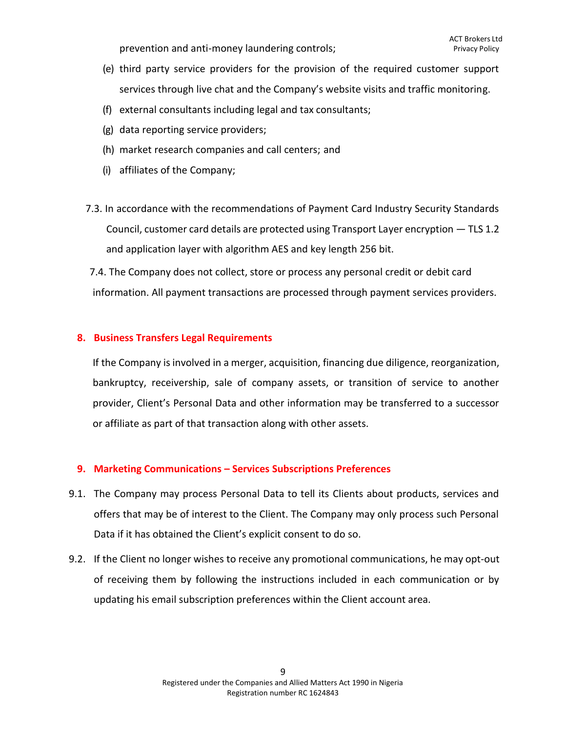prevention and anti-money laundering controls;

- (e) third party service providers for the provision of the required customer support services through live chat and the Company's website visits and traffic monitoring.
- (f) external consultants including legal and tax consultants;
- (g) data reporting service providers;
- (h) market research companies and call centers; and
- (i) affiliates of the Company;
- 7.3. In accordance with the recommendations of Payment Card Industry Security Standards Council, customer card details are protected using Transport Layer encryption — TLS 1.2 and application layer with algorithm AES and key length 256 bit.

7.4. The Company does not collect, store or process any personal credit or debit card information. All payment transactions are processed through payment services providers.

# <span id="page-8-0"></span>**8. Business Transfers Legal Requirements**

If the Company is involved in a merger, acquisition, financing due diligence, reorganization, bankruptcy, receivership, sale of company assets, or transition of service to another provider, Client's Personal Data and other information may be transferred to a successor or affiliate as part of that transaction along with other assets.

# **9. Marketing Communications – Services Subscriptions Preferences**

- <span id="page-8-1"></span>9.1. The Company may process Personal Data to tell its Clients about products, services and offers that may be of interest to the Client. The Company may only process such Personal Data if it has obtained the Client's explicit consent to do so.
- 9.2. If the Client no longer wishes to receive any promotional communications, he may opt-out of receiving them by following the instructions included in each communication or by updating his email subscription preferences within the Client account area.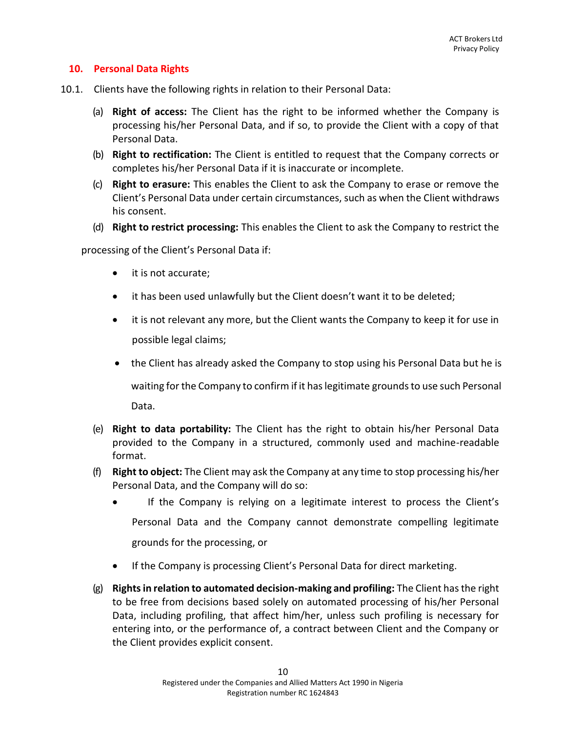# **10. Personal Data Rights**

- 10.1. Clients have the following rights in relation to their Personal Data:
	- (a) **Right of access:** The Client has the right to be informed whether the Company is processing his/her Personal Data, and if so, to provide the Client with a copy of that Personal Data.
	- (b) **Right to rectification:** The Client is entitled to request that the Company corrects or completes his/her Personal Data if it is inaccurate or incomplete.
	- (c) **Right to erasure:** This enables the Client to ask the Company to erase or remove the Client's Personal Data under certain circumstances, such as when the Client withdraws his consent.
	- (d) **Right to restrict processing:** This enables the Client to ask the Company to restrict the

processing of the Client's Personal Data if:

- it is not accurate;
- it has been used unlawfully but the Client doesn't want it to be deleted;
- it is not relevant any more, but the Client wants the Company to keep it for use in possible legal claims;
- the Client has already asked the Company to stop using his Personal Data but he is

waiting for the Company to confirm if it has legitimate grounds to use such Personal Data.

- (e) **Right to data portability:** The Client has the right to obtain his/her Personal Data provided to the Company in a structured, commonly used and machine-readable format.
- (f) **Right to object:** The Client may ask the Company at any time to stop processing his/her Personal Data, and the Company will do so:
	- If the Company is relying on a legitimate interest to process the Client's Personal Data and the Company cannot demonstrate compelling legitimate grounds for the processing, or
	- If the Company is processing Client's Personal Data for direct marketing.
- (g) **Rights in relation to automated decision-making and profiling:** The Client has the right to be free from decisions based solely on automated processing of his/her Personal Data, including profiling, that affect him/her, unless such profiling is necessary for entering into, or the performance of, a contract between Client and the Company or the Client provides explicit consent.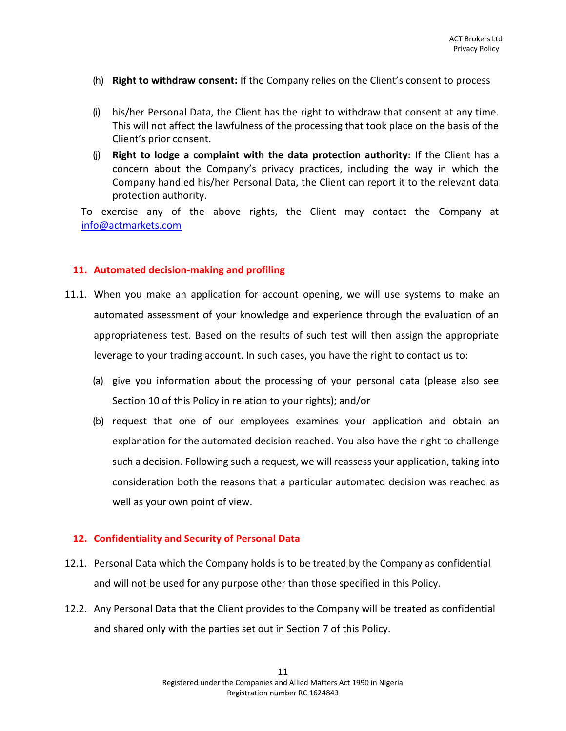- (h) **Right to withdraw consent:** If the Company relies on the Client's consent to process
- (i) his/her Personal Data, the Client has the right to withdraw that consent at any time. This will not affect the lawfulness of the processing that took place on the basis of the Client's prior consent.
- (j) **Right to lodge a complaint with the data protection authority:** If the Client has a concern about the Company's privacy practices, including the way in which the Company handled his/her Personal Data, the Client can report it to the relevant data protection authority.

To exercise any of the above rights, the Client may contact the Company at [info@actmarkets.com](mailto:info@actmarkets.com)

#### <span id="page-10-0"></span>**11. Automated decision-making and profiling**

- 11.1. When you make an application for account opening, we will use systems to make an automated assessment of your knowledge and experience through the evaluation of an appropriateness test. Based on the results of such test will then assign the appropriate leverage to your trading account. In such cases, you have the right to contact us to:
	- (a) give you information about the processing of your personal data (please also see Se[ction 10 o](#page-13-0)f this Policy in relation to your rights); and/or
	- (b) request that one of our employees examines your application and obtain an explanation for the automated decision reached. You also have the right to challenge such a decision. Following such a request, we will reassess your application, taking into consideration both the reasons that a particular automated decision was reached as well as your own point of view.

# **12. Confidentiality and Security of Personal Data**

- <span id="page-10-1"></span>12.1. Personal Data which the Company holds is to be treated by the Company as confidential and will not be used for any purpose other than those specified in this Policy.
- 12.2. Any Personal Data that the Client provides to the Company will be treated as confidential and shared only with the parties set out in Section 7 of this Policy.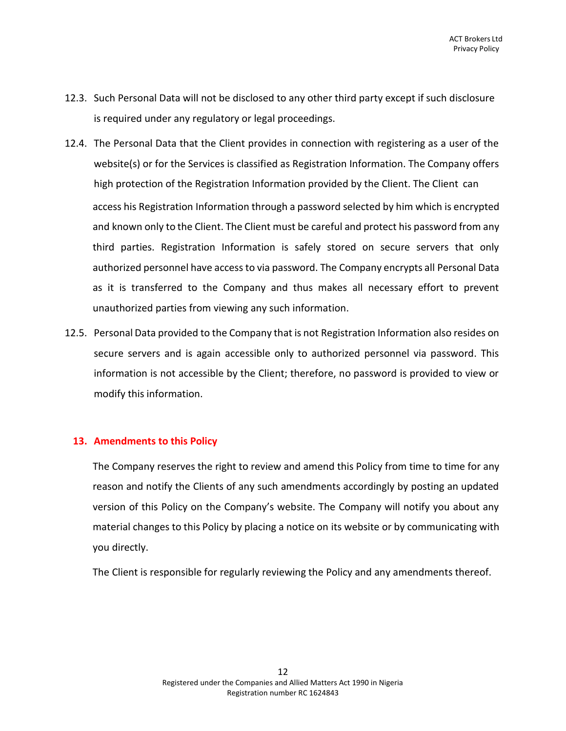- 12.3. Such Personal Data will not be disclosed to any other third party except if such disclosure is required under any regulatory or legal proceedings.
- 12.4. The Personal Data that the Client provides in connection with registering as a user of the website(s) or for the Services is classified as Registration Information. The Company offers high protection of the Registration Information provided by the Client. The Client can access his Registration Information through a password selected by him which is encrypted and known only to the Client. The Client must be careful and protect his password from any third parties. Registration Information is safely stored on secure servers that only authorized personnel have accessto via password. The Company encrypts all Personal Data as it is transferred to the Company and thus makes all necessary effort to prevent unauthorized parties from viewing any such information.
- 12.5. Personal Data provided to the Company that is not Registration Information also resides on secure servers and is again accessible only to authorized personnel via password. This information is not accessible by the Client; therefore, no password is provided to view or modify this information.

#### <span id="page-11-0"></span>**13. Amendments to this Policy**

The Company reserves the right to review and amend this Policy from time to time for any reason and notify the Clients of any such amendments accordingly by posting an updated version of this Policy on the Company's website. The Company will notify you about any material changes to this Policy by placing a notice on its website or by communicating with you directly.

The Client is responsible for regularly reviewing the Policy and any amendments thereof.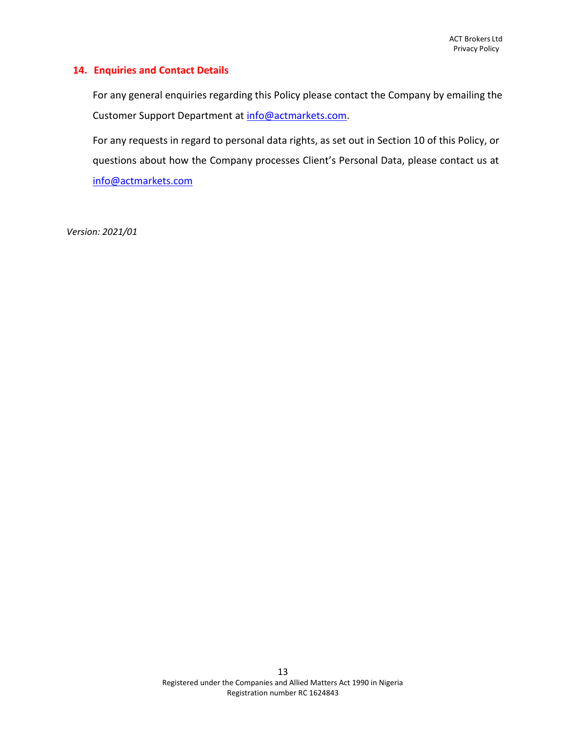#### <span id="page-12-0"></span>**14. Enquiries and Contact Details**

For any general enquiries regarding this Policy please contact the Company by emailing the Customer Support Department at [info@actmarkets.com.](mailto:info@actmarkets.com)

For any requests in regard to personal data rights, as set out in Section [10 o](#page-13-0)f this Policy, or questions about how the Company processes Client's Personal Data, please contact us at [info@actmarkets.com](mailto:info@actmarkets.com)

*Version: 2021/01*